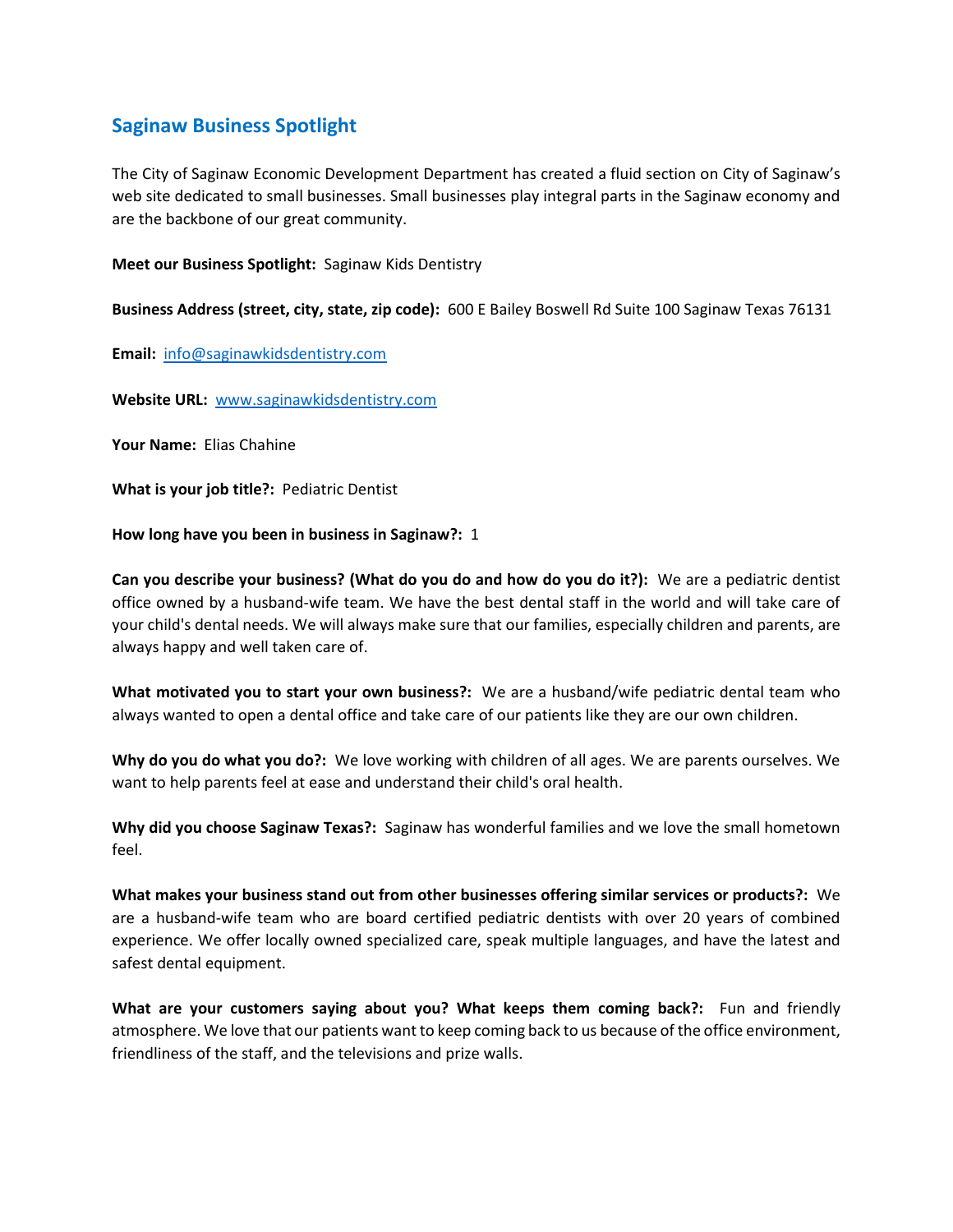## **Saginaw Business Spotlight**

The City of Saginaw Economic Development Department has created a fluid section on City of Saginaw's web site dedicated to small businesses. Small businesses play integral parts in the Saginaw economy and are the backbone of our great community.

**Meet our Business Spotlight:** Saginaw Kids Dentistry

**Business Address (street, city, state, zip code):** 600 E Bailey Boswell Rd Suite 100 Saginaw Texas 76131

**Email:** [info@saginawkidsdentistry.com](mailto:info@saginawkidsdentistry.com)

**Website URL:** [www.saginawkidsdentistry.com](http://www.saginawkidsdentistry.com/)

**Your Name:** Elias Chahine

**What is your job title?:** Pediatric Dentist

**How long have you been in business in Saginaw?:** 1

**Can you describe your business? (What do you do and how do you do it?):** We are a pediatric dentist office owned by a husband-wife team. We have the best dental staff in the world and will take care of your child's dental needs. We will always make sure that our families, especially children and parents, are always happy and well taken care of.

**What motivated you to start your own business?:** We are a husband/wife pediatric dental team who always wanted to open a dental office and take care of our patients like they are our own children.

**Why do you do what you do?:** We love working with children of all ages. We are parents ourselves. We want to help parents feel at ease and understand their child's oral health.

**Why did you choose Saginaw Texas?:** Saginaw has wonderful families and we love the small hometown feel.

**What makes your business stand out from other businesses offering similar services or products?:** We are a husband-wife team who are board certified pediatric dentists with over 20 years of combined experience. We offer locally owned specialized care, speak multiple languages, and have the latest and safest dental equipment.

**What are your customers saying about you? What keeps them coming back?:** Fun and friendly atmosphere. We love that our patients want to keep coming back to us because of the office environment, friendliness of the staff, and the televisions and prize walls.